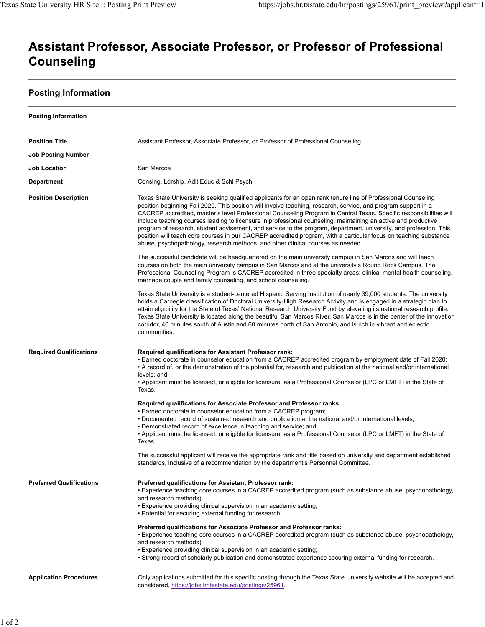## Assistant Professor, Associate Professor, or Professor of Professional **Counseling**

## **Posting Information**

| <b>Posting Information</b>      |                                                                                                                                                                                                                                                                                                                                                                                                                                                                                                                                                                                                                                                                                                                                                                                                      |
|---------------------------------|------------------------------------------------------------------------------------------------------------------------------------------------------------------------------------------------------------------------------------------------------------------------------------------------------------------------------------------------------------------------------------------------------------------------------------------------------------------------------------------------------------------------------------------------------------------------------------------------------------------------------------------------------------------------------------------------------------------------------------------------------------------------------------------------------|
| <b>Position Title</b>           | Assistant Professor, Associate Professor, or Professor of Professional Counseling                                                                                                                                                                                                                                                                                                                                                                                                                                                                                                                                                                                                                                                                                                                    |
| <b>Job Posting Number</b>       |                                                                                                                                                                                                                                                                                                                                                                                                                                                                                                                                                                                                                                                                                                                                                                                                      |
| <b>Job Location</b>             | San Marcos                                                                                                                                                                                                                                                                                                                                                                                                                                                                                                                                                                                                                                                                                                                                                                                           |
| <b>Department</b>               | Consing, Ldrship, Adlt Educ & Schl Psych                                                                                                                                                                                                                                                                                                                                                                                                                                                                                                                                                                                                                                                                                                                                                             |
| <b>Position Description</b>     | Texas State University is seeking qualified applicants for an open rank tenure line of Professional Counseling<br>position beginning Fall 2020. This position will involve teaching, research, service, and program support in a<br>CACREP accredited, master's level Professional Counseling Program in Central Texas. Specific responsibilities will<br>include teaching courses leading to licensure in professional counseling, maintaining an active and productive<br>program of research, student advisement, and service to the program, department, university, and profession. This<br>position will teach core courses in our CACREP accredited program, with a particular focus on teaching substance<br>abuse, psychopathology, research methods, and other clinical courses as needed. |
|                                 | The successful candidate will be headquartered on the main university campus in San Marcos and will teach<br>courses on both the main university campus in San Marcos and at the university's Round Rock Campus. The<br>Professional Counseling Program is CACREP accredited in three specialty areas: clinical mental health counseling,<br>marriage couple and family counseling, and school counseling.                                                                                                                                                                                                                                                                                                                                                                                           |
|                                 | Texas State University is a student-centered Hispanic Serving Institution of nearly 39,000 students. The university<br>holds a Carnegie classification of Doctoral University-High Research Activity and is engaged in a strategic plan to<br>attain eligibility for the State of Texas' National Research University Fund by elevating its national research profile.<br>Texas State University is located along the beautiful San Marcos River. San Marcos is in the center of the innovation<br>corridor, 40 minutes south of Austin and 60 minutes north of San Antonio, and is rich in vibrant and eclectic<br>communities.                                                                                                                                                                     |
| <b>Required Qualifications</b>  | Required qualifications for Assistant Professor rank:<br>• Earned doctorate in counselor education from a CACREP accredited program by employment date of Fall 2020;<br>• A record of, or the demonstration of the potential for, research and publication at the national and/or international<br>levels; and<br>• Applicant must be licensed, or eligible for licensure, as a Professional Counselor (LPC or LMFT) in the State of<br>Texas.                                                                                                                                                                                                                                                                                                                                                       |
|                                 | Required qualifications for Associate Professor and Professor ranks:<br>• Earned doctorate in counselor education from a CACREP program;<br>• Documented record of sustained research and publication at the national and/or international levels;<br>• Demonstrated record of excellence in teaching and service; and<br>• Applicant must be licensed, or eligible for licensure, as a Professional Counselor (LPC or LMFT) in the State of<br>Texas.<br>The successful applicant will receive the appropriate rank and title based on university and department established                                                                                                                                                                                                                        |
|                                 | standards, inclusive of a recommendation by the department's Personnel Committee.                                                                                                                                                                                                                                                                                                                                                                                                                                                                                                                                                                                                                                                                                                                    |
| <b>Preferred Qualifications</b> | Preferred qualifications for Assistant Professor rank:<br>• Experience teaching core courses in a CACREP accredited program (such as substance abuse, psychopathology,<br>and research methods);<br>. Experience providing clinical supervision in an academic setting;<br>• Potential for securing external funding for research.                                                                                                                                                                                                                                                                                                                                                                                                                                                                   |
|                                 | Preferred qualifications for Associate Professor and Professor ranks:<br>• Experience teaching core courses in a CACREP accredited program (such as substance abuse, psychopathology,<br>and research methods);<br>• Experience providing clinical supervision in an academic setting;<br>· Strong record of scholarly publication and demonstrated experience securing external funding for research.                                                                                                                                                                                                                                                                                                                                                                                               |
| <b>Application Procedures</b>   | Only applications submitted for this specific posting through the Texas State University website will be accepted and<br>considered, https://jobs.hr.txstate.edu/postings/25961.                                                                                                                                                                                                                                                                                                                                                                                                                                                                                                                                                                                                                     |